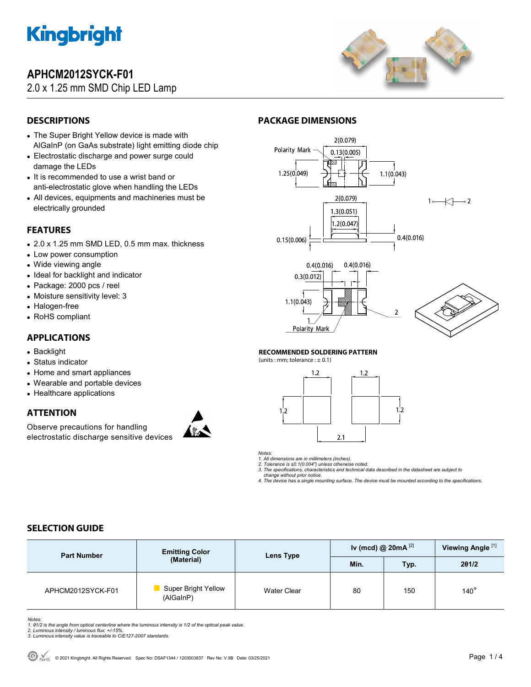

## **APHCM2012SYCK-F01**

### 2.0 x 1.25 mm SMD Chip LED Lamp



### **DESCRIPTIONS**

- The Super Bright Yellow device is made with AlGaInP (on GaAs substrate) light emitting diode chip
- Electrostatic discharge and power surge could damage the LEDs
- It is recommended to use a wrist band or anti-electrostatic glove when handling the LEDs
- All devices, equipments and machineries must be electrically grounded

### **FEATURES**

- 2.0 x 1.25 mm SMD LED, 0.5 mm max. thickness
- Low power consumption
- Wide viewing angle
- Ideal for backlight and indicator
- Package: 2000 pcs / reel
- Moisture sensitivity level: 3
- Halogen-free
- RoHS compliant

### **APPLICATIONS**

- Backlight
- Status indicator
- Home and smart appliances
- Wearable and portable devices
- Healthcare applications

### **ATTENTION**

Observe precautions for handling electrostatic discharge sensitive devices



### **PACKAGE DIMENSIONS**



#### **RECOMMENDED SOLDERING PATTERN**

(units : mm; tolerance :  $\pm$  0.1)





*1. All dimensions are in millimeters (inches).* 

*2. Tolerance is ±0.1(0.004") unless otherwise noted. 3. The specifications, characteristics and technical data described in the datasheet are subject to* 

 *change without prior notice.* 

*4. The device has a single mounting surface. The device must be mounted according to the specifications.* 

### **SELECTION GUIDE**

| <b>Part Number</b> | <b>Emitting Color</b>            | Lens Type<br>Min. | Iv (mcd) @ $20mA^{[2]}$ |       | Viewing Angle <sup>[1]</sup> |
|--------------------|----------------------------------|-------------------|-------------------------|-------|------------------------------|
|                    | (Material)                       |                   | Typ.                    | 201/2 |                              |
| APHCM2012SYCK-F01  | Super Bright Yellow<br>(AlGaInP) | Water Clear       | 80                      | 150   | $140^\circ$                  |

Notes:<br>1. 81/2 is the angle from optical centerline where the luminous intensity is 1/2 of the optical peak value.<br>2. Luminous intensity / luminous flux: +/-15%.<br>3. Luminous intensity value is traceable to CIE127-2007 stan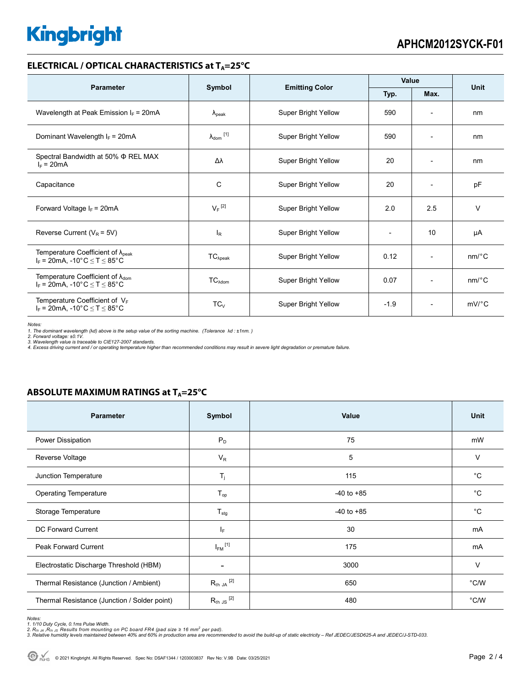# **Kingbright**

### **ELECTRICAL / OPTICAL CHARACTERISTICS at T<sub>A</sub>=25°C**

| <b>Parameter</b>                                                                             |                            |                            | Value        |                          | <b>Unit</b> |
|----------------------------------------------------------------------------------------------|----------------------------|----------------------------|--------------|--------------------------|-------------|
|                                                                                              | Symbol                     | <b>Emitting Color</b>      | Typ.<br>Max. |                          |             |
| Wavelength at Peak Emission $I_F$ = 20mA                                                     | $\lambda_{\rm peak}$       | Super Bright Yellow        | 590          |                          | nm          |
| Dominant Wavelength $I_F$ = 20mA                                                             | $\lambda_{\text{dom}}$ [1] | Super Bright Yellow        | 590          | $\overline{\phantom{a}}$ | nm          |
| Spectral Bandwidth at 50% $\Phi$ REL MAX<br>$I_F = 20mA$                                     | Δλ                         | Super Bright Yellow        | 20           | $\overline{\phantom{a}}$ | nm          |
| Capacitance                                                                                  | C                          | Super Bright Yellow        | 20           |                          | pF          |
| Forward Voltage $I_F$ = 20mA                                                                 | $V_F$ <sup>[2]</sup>       | Super Bright Yellow        | 2.0          | 2.5                      | $\vee$      |
| Reverse Current ( $V_R$ = 5V)                                                                | <sub>lR</sub>              | <b>Super Bright Yellow</b> |              | 10                       | μA          |
| Temperature Coefficient of $\lambda_{\text{peak}}$<br>$I_F = 20mA$ , -10°C $\le T \le 85$ °C | $TC_{\lambda peak}$        | Super Bright Yellow        | 0.12         | $\overline{\phantom{a}}$ | $nm$ /°C    |
| Temperature Coefficient of $\lambda_{\text{dom}}$<br>$I_F = 20$ mA, -10°C $\le T \le 85$ °C  | $TC_{\lambda dom}$         | Super Bright Yellow        | 0.07         | $\overline{\phantom{a}}$ | $nm$ /°C    |
| Temperature Coefficient of $V_F$<br>$I_F$ = 20mA, -10°C $\leq T \leq 85$ °C                  | $TC_{V}$                   | Super Bright Yellow        | $-1.9$       | $\overline{\phantom{a}}$ | $mV$ °C     |

*Notes:* 

1. The dominant wavelength (λd) above is the setup value of the sorting machine. (Tolerance λd : ±1nm. )<br>2. Forward voltage: ±0.1V.<br>3. Wavelength value is traceable to CIE127-2007 standards.

*4. Excess driving current and / or operating temperature higher than recommended conditions may result in severe light degradation or premature failure.* 

### **ABSOLUTE MAXIMUM RATINGS at T<sub>A</sub>=25°C**

| <b>Parameter</b>                             | Symbol               | <b>Value</b>   | Unit        |
|----------------------------------------------|----------------------|----------------|-------------|
| Power Dissipation                            | $P_D$                | 75             | mW          |
| Reverse Voltage                              | $V_R$                | 5              | $\vee$      |
| Junction Temperature                         | $\mathsf{T}_j$       | 115            | $^{\circ}C$ |
| <b>Operating Temperature</b>                 | $T_{op}$             | $-40$ to $+85$ | $^{\circ}C$ |
| Storage Temperature                          | $T_{\text{stg}}$     | $-40$ to $+85$ | $^{\circ}C$ |
| DC Forward Current                           | IF.                  | 30             | mA          |
| <b>Peak Forward Current</b>                  | $I_{FM}$ [1]         | 175            | mA          |
| Electrostatic Discharge Threshold (HBM)      |                      | 3000           | $\vee$      |
| Thermal Resistance (Junction / Ambient)      | $R_{th}$ ja $^{[2]}$ | 650            | °C/W        |
| Thermal Resistance (Junction / Solder point) | $R_{th}$ JS $^{[2]}$ | 480            | °C/W        |

Notes:<br>1. 1/10 Duty Cycle, 0.1ms Pulse Width.<br>2. R<sub>th JA</sub> ,R<sub>h JS</sub> Results from mounting on PC board FR4 (pad size ≥ 16 mm<sup>2</sup> per pad).<br>3. Relative humidity levels maintained between 40% and 60% in production area are rec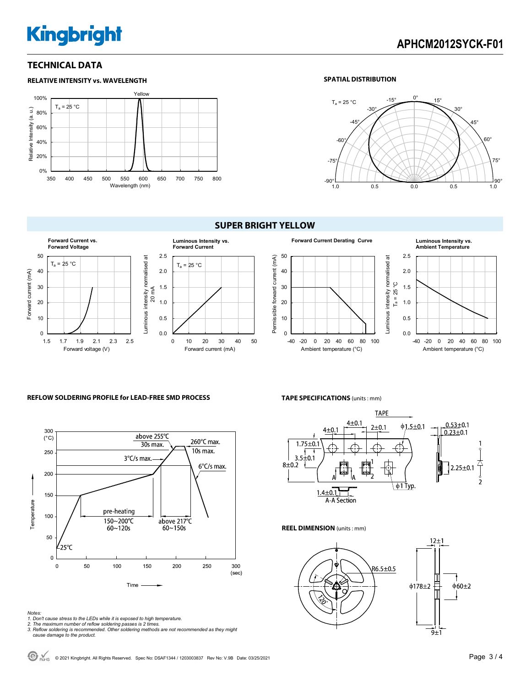# **Kingbright**

## **APHCM2012SYCK-F01**

### **TECHNICAL DATA**



#### **SPATIAL DISTRIBUTION**



### **SUPER BRIGHT YELLOW**





#### -40 -20 0 20 40 60 80 100 Ambient temperature (°C)

#### **REFLOW SOLDERING PROFILE for LEAD-FREE SMD PROCESS**



#### *Notes:*

- *1. Don't cause stress to the LEDs while it is exposed to high temperature.*
- 
- *2. The maximum number of reflow soldering passes is 2 times. 3. Reflow soldering is recommended. Other soldering methods are not recommended as they might cause damage to the product.*

#### **TAPE SPECIFICATIONS** (units : mm)



Luminous intensity normalised at

Luminous intensity normalised

ಸ

**REEL DIMENSION** (units : mm)